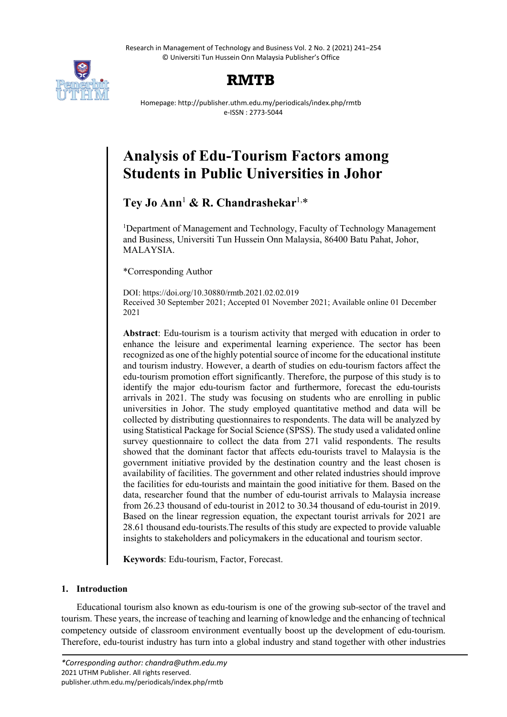Research in Management of Technology and Business Vol. 2 No. 2 (2021) 241–254 © Universiti Tun Hussein Onn Malaysia Publisher's Office



# **RMTB**

Homepage: http://publisher.uthm.edu.my/periodicals/index.php/rmtb e-ISSN : 2773-5044

# **Analysis of Edu-Tourism Factors among Students in Public Universities in Johor**

**Tey Jo Ann**<sup>1</sup> **& R. Chandrashekar**1, \*

<sup>1</sup>Department of Management and Technology, Faculty of Technology Management and Business, Universiti Tun Hussein Onn Malaysia, 86400 Batu Pahat, Johor, MALAYSIA.

\*Corresponding Author

DOI: https://doi.org/10.30880/rmtb.2021.02.02.019 Received 30 September 2021; Accepted 01 November 2021; Available online 01 December 2021

**Abstract**: Edu-tourism is a tourism activity that merged with education in order to enhance the leisure and experimental learning experience. The sector has been recognized as one of the highly potential source of income for the educational institute and tourism industry. However, a dearth of studies on edu-tourism factors affect the edu-tourism promotion effort significantly. Therefore, the purpose of this study is to identify the major edu-tourism factor and furthermore, forecast the edu-tourists arrivals in 2021. The study was focusing on students who are enrolling in public universities in Johor. The study employed quantitative method and data will be collected by distributing questionnaires to respondents. The data will be analyzed by using Statistical Package for Social Science (SPSS). The study used a validated online survey questionnaire to collect the data from 271 valid respondents. The results showed that the dominant factor that affects edu-tourists travel to Malaysia is the government initiative provided by the destination country and the least chosen is availability of facilities. The government and other related industries should improve the facilities for edu-tourists and maintain the good initiative for them. Based on the data, researcher found that the number of edu-tourist arrivals to Malaysia increase from 26.23 thousand of edu-tourist in 2012 to 30.34 thousand of edu-tourist in 2019. Based on the linear regression equation, the expectant tourist arrivals for 2021 are 28.61 thousand edu-tourists.The results of this study are expected to provide valuable insights to stakeholders and policymakers in the educational and tourism sector.

**Keywords**: Edu-tourism, Factor, Forecast.

# **1. Introduction**

Educational tourism also known as edu-tourism is one of the growing sub-sector of the travel and tourism. These years, the increase of teaching and learning of knowledge and the enhancing of technical competency outside of classroom environment eventually boost up the development of edu-tourism. Therefore, edu-tourist industry has turn into a global industry and stand together with other industries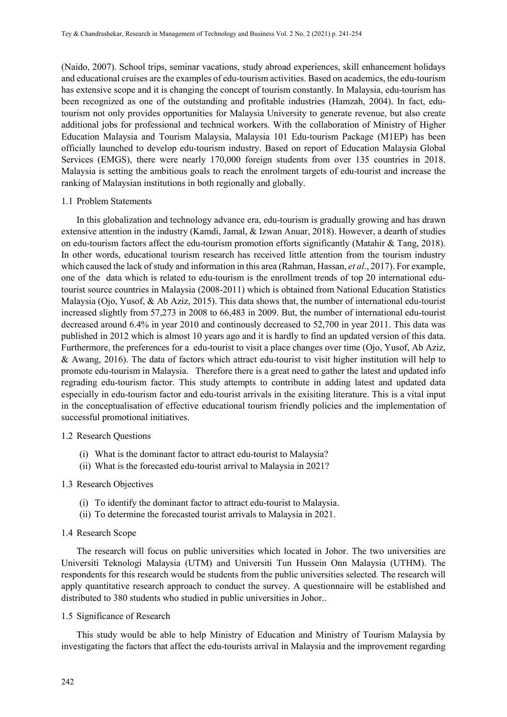(Naido, 2007). School trips, seminar vacations, study abroad experiences, skill enhancement holidays and educational cruises are the examples of edu-tourism activities. Based on academics, the edu-tourism has extensive scope and it is changing the concept of tourism constantly. In Malaysia, edu-tourism has been recognized as one of the outstanding and profitable industries (Hamzah, 2004). In fact, edutourism not only provides opportunities for Malaysia University to generate revenue, but also create additional jobs for professional and technical workers. With the collaboration of Ministry of Higher Education Malaysia and Tourism Malaysia, Malaysia 101 Edu-tourism Package (M1EP) has been officially launched to develop edu-tourism industry. Based on report of Education Malaysia Global Services (EMGS), there were nearly 170,000 foreign students from over 135 countries in 2018. Malaysia is setting the ambitious goals to reach the enrolment targets of edu-tourist and increase the ranking of Malaysian institutions in both regionally and globally.

# 1.1 Problem Statements

In this globalization and technology advance era, edu-tourism is gradually growing and has drawn extensive attention in the industry (Kamdi, Jamal, & Izwan Anuar, 2018). However, a dearth of studies on edu-tourism factors affect the edu-tourism promotion efforts significantly (Matahir & Tang, 2018). In other words, educational tourism research has received little attention from the tourism industry which caused the lack of study and information in this area (Rahman, Hassan, *et al*., 2017). For example, one of the data which is related to edu-tourism is the enrollment trends of top 20 international edutourist source countries in Malaysia (2008-2011) which is obtained from National Education Statistics Malaysia (Ojo, Yusof, & Ab Aziz, 2015). This data shows that, the number of international edu-tourist increased slightly from 57,273 in 2008 to 66,483 in 2009. But, the number of international edu-tourist decreased around 6.4% in year 2010 and continously decreased to 52,700 in year 2011. This data was published in 2012 which is almost 10 years ago and it is hardly to find an updated version of this data. Furthermore, the preferences for a edu-tourist to visit a place changes over time (Ojo, Yusof, Ab Aziz, & Awang, 2016). The data of factors which attract edu-tourist to visit higher institution will help to promote edu-tourism in Malaysia. Therefore there is a great need to gather the latest and updated info regrading edu-tourism factor. This study attempts to contribute in adding latest and updated data especially in edu-tourism factor and edu-tourist arrivals in the exisiting literature. This is a vital input in the conceptualisation of effective educational tourism friendly policies and the implementation of successful promotional initiatives.

# 1.2 Research Questions

- (i) What is the dominant factor to attract edu-tourist to Malaysia?
- (ii) What is the forecasted edu-tourist arrival to Malaysia in 2021?

# 1.3 Research Objectives

- (i) To identify the dominant factor to attract edu-tourist to Malaysia.
- (ii) To determine the forecasted tourist arrivals to Malaysia in 2021.

#### 1.4 Research Scope

The research will focus on public universities which located in Johor. The two universities are Universiti Teknologi Malaysia (UTM) and Universiti Tun Hussein Onn Malaysia (UTHM). The respondents for this research would be students from the public universities selected. The research will apply quantitative research approach to conduct the survey. A questionnaire will be established and distributed to 380 students who studied in public universities in Johor..

# 1.5 Significance of Research

This study would be able to help Ministry of Education and Ministry of Tourism Malaysia by investigating the factors that affect the edu-tourists arrival in Malaysia and the improvement regarding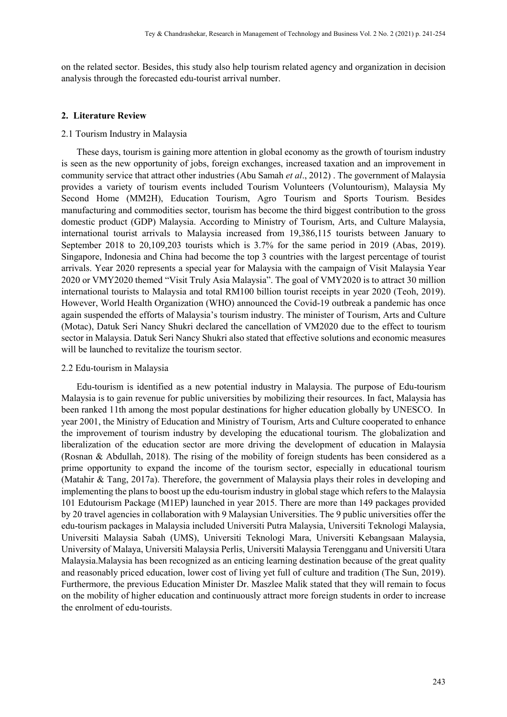on the related sector. Besides, this study also help tourism related agency and organization in decision analysis through the forecasted edu-tourist arrival number.

#### **2. Literature Review**

#### 2.1 Tourism Industry in Malaysia

These days, tourism is gaining more attention in global economy as the growth of tourism industry is seen as the new opportunity of jobs, foreign exchanges, increased taxation and an improvement in community service that attract other industries (Abu Samah *et al*., 2012) . The government of Malaysia provides a variety of tourism events included Tourism Volunteers (Voluntourism), Malaysia My Second Home (MM2H), Education Tourism, Agro Tourism and Sports Tourism. Besides manufacturing and commodities sector, tourism has become the third biggest contribution to the gross domestic product (GDP) Malaysia. According to Ministry of Tourism, Arts, and Culture Malaysia, international tourist arrivals to Malaysia increased from 19,386,115 tourists between January to September 2018 to 20,109,203 tourists which is 3.7% for the same period in 2019 (Abas, 2019). Singapore, Indonesia and China had become the top 3 countries with the largest percentage of tourist arrivals. Year 2020 represents a special year for Malaysia with the campaign of Visit Malaysia Year 2020 or VMY2020 themed "Visit Truly Asia Malaysia". The goal of VMY2020 is to attract 30 million international tourists to Malaysia and total RM100 billion tourist receipts in year 2020 (Teoh, 2019). However, World Health Organization (WHO) announced the Covid-19 outbreak a pandemic has once again suspended the efforts of Malaysia's tourism industry. The minister of Tourism, Arts and Culture (Motac), Datuk Seri Nancy Shukri declared the cancellation of VM2020 due to the effect to tourism sector in Malaysia. Datuk Seri Nancy Shukri also stated that effective solutions and economic measures will be launched to revitalize the tourism sector.

#### 2.2 Edu-tourism in Malaysia

Edu-tourism is identified as a new potential industry in Malaysia. The purpose of Edu-tourism Malaysia is to gain revenue for public universities by mobilizing their resources. In fact, Malaysia has been ranked 11th among the most popular destinations for higher education globally by UNESCO. In year 2001, the Ministry of Education and Ministry of Tourism, Arts and Culture cooperated to enhance the improvement of tourism industry by developing the educational tourism. The globalization and liberalization of the education sector are more driving the development of education in Malaysia (Rosnan & Abdullah, 2018). The rising of the mobility of foreign students has been considered as a prime opportunity to expand the income of the tourism sector, especially in educational tourism (Matahir & Tang, 2017a). Therefore, the government of Malaysia plays their roles in developing and implementing the plans to boost up the edu-tourism industry in global stage which refers to the Malaysia 101 Edutourism Package (M1EP) launched in year 2015. There are more than 149 packages provided by 20 travel agencies in collaboration with 9 Malaysian Universities. The 9 public universities offer the edu-tourism packages in Malaysia included Universiti Putra Malaysia, Universiti Teknologi Malaysia, Universiti Malaysia Sabah (UMS), Universiti Teknologi Mara, Universiti Kebangsaan Malaysia, University of Malaya, Universiti Malaysia Perlis, Universiti Malaysia Terengganu and Universiti Utara Malaysia.Malaysia has been recognized as an enticing learning destination because of the great quality and reasonably priced education, lower cost of living yet full of culture and tradition (The Sun, 2019). Furthermore, the previous Education Minister Dr. Maszlee Malik stated that they will remain to focus on the mobility of higher education and continuously attract more foreign students in order to increase the enrolment of edu-tourists.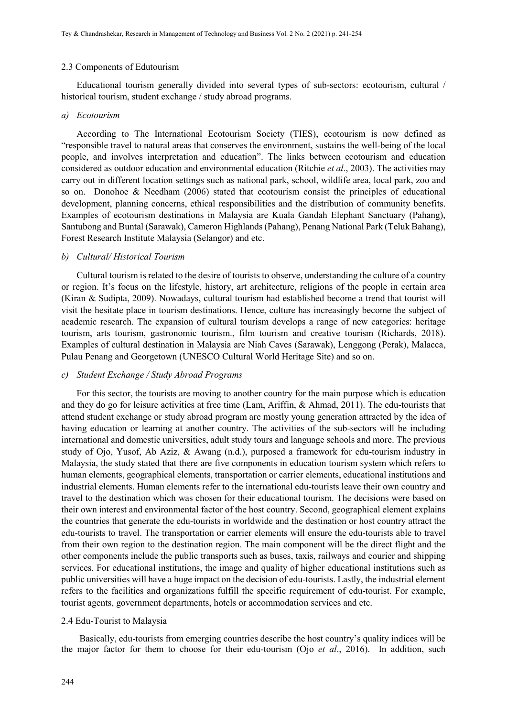#### 2.3 Components of Edutourism

Educational tourism generally divided into several types of sub-sectors: ecotourism, cultural / historical tourism, student exchange / study abroad programs.

#### *a) Ecotourism*

According to The International Ecotourism Society (TIES), ecotourism is now defined as "responsible travel to natural areas that conserves the environment, sustains the well-being of the local people, and involves interpretation and education". The links between ecotourism and education considered as outdoor education and environmental education (Ritchie *et al*., 2003). The activities may carry out in different location settings such as national park, school, wildlife area, local park, zoo and so on. Donohoe & Needham (2006) stated that ecotourism consist the principles of educational development, planning concerns, ethical responsibilities and the distribution of community benefits. Examples of ecotourism destinations in Malaysia are Kuala Gandah Elephant Sanctuary (Pahang), Santubong and Buntal (Sarawak), Cameron Highlands (Pahang), Penang National Park (Teluk Bahang), Forest Research Institute Malaysia (Selangor) and etc.

#### *b) Cultural/ Historical Tourism*

Cultural tourism is related to the desire of tourists to observe, understanding the culture of a country or region. It's focus on the lifestyle, history, art architecture, religions of the people in certain area (Kiran & Sudipta, 2009). Nowadays, cultural tourism had established become a trend that tourist will visit the hesitate place in tourism destinations. Hence, culture has increasingly become the subject of academic research. The expansion of cultural tourism develops a range of new categories: heritage tourism, arts tourism, gastronomic tourism., film tourism and creative tourism (Richards, 2018). Examples of cultural destination in Malaysia are Niah Caves (Sarawak), Lenggong (Perak), Malacca, Pulau Penang and Georgetown (UNESCO Cultural World Heritage Site) and so on.

#### *c) Student Exchange / Study Abroad Programs*

For this sector, the tourists are moving to another country for the main purpose which is education and they do go for leisure activities at free time (Lam, Ariffin, & Ahmad, 2011). The edu-tourists that attend student exchange or study abroad program are mostly young generation attracted by the idea of having education or learning at another country. The activities of the sub-sectors will be including international and domestic universities, adult study tours and language schools and more. The previous study of Ojo, Yusof, Ab Aziz, & Awang (n.d.), purposed a framework for edu-tourism industry in Malaysia, the study stated that there are five components in education tourism system which refers to human elements, geographical elements, transportation or carrier elements, educational institutions and industrial elements. Human elements refer to the international edu-tourists leave their own country and travel to the destination which was chosen for their educational tourism. The decisions were based on their own interest and environmental factor of the host country. Second, geographical element explains the countries that generate the edu-tourists in worldwide and the destination or host country attract the edu-tourists to travel. The transportation or carrier elements will ensure the edu-tourists able to travel from their own region to the destination region. The main component will be the direct flight and the other components include the public transports such as buses, taxis, railways and courier and shipping services. For educational institutions, the image and quality of higher educational institutions such as public universities will have a huge impact on the decision of edu-tourists. Lastly, the industrial element refers to the facilities and organizations fulfill the specific requirement of edu-tourist. For example, tourist agents, government departments, hotels or accommodation services and etc.

#### 2.4 Edu-Tourist to Malaysia

Basically, edu-tourists from emerging countries describe the host country's quality indices will be the major factor for them to choose for their edu-tourism (Ojo *et al*., 2016). In addition, such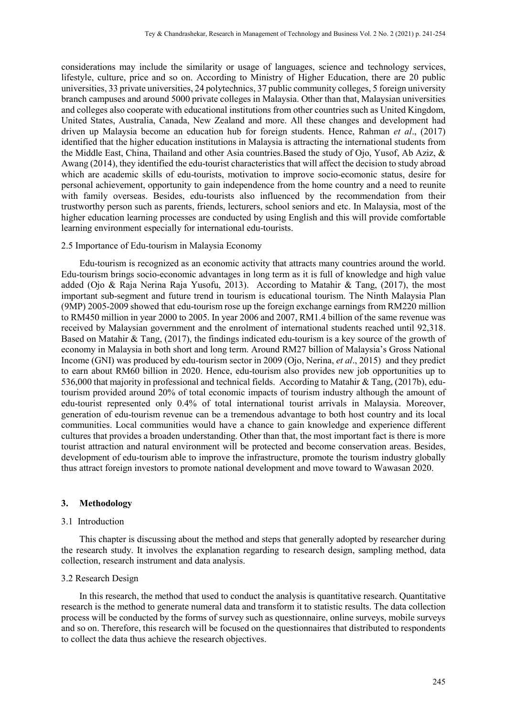considerations may include the similarity or usage of languages, science and technology services, lifestyle, culture, price and so on. According to Ministry of Higher Education, there are 20 public universities, 33 private universities, 24 polytechnics, 37 public community colleges, 5 foreign university branch campuses and around 5000 private colleges in Malaysia. Other than that, Malaysian universities and colleges also cooperate with educational institutions from other countries such as United Kingdom, United States, Australia, Canada, New Zealand and more. All these changes and development had driven up Malaysia become an education hub for foreign students. Hence, Rahman *et al*., (2017) identified that the higher education institutions in Malaysia is attracting the international students from the Middle East, China, Thailand and other Asia countries.Based the study of Ojo, Yusof, Ab Aziz, & Awang (2014), they identified the edu-tourist characteristics that will affect the decision to study abroad which are academic skills of edu-tourists, motivation to improve socio-ecomonic status, desire for personal achievement, opportunity to gain independence from the home country and a need to reunite with family overseas. Besides, edu-tourists also influenced by the recommendation from their trustworthy person such as parents, friends, lecturers, school seniors and etc. In Malaysia, most of the higher education learning processes are conducted by using English and this will provide comfortable learning environment especially for international edu-tourists.

#### 2.5 Importance of Edu-tourism in Malaysia Economy

Edu-tourism is recognized as an economic activity that attracts many countries around the world. Edu-tourism brings socio-economic advantages in long term as it is full of knowledge and high value added (Ojo & Raja Nerina Raja Yusofu, 2013). According to Matahir & Tang, (2017), the most important sub-segment and future trend in tourism is educational tourism. The Ninth Malaysia Plan (9MP) 2005-2009 showed that edu-tourism rose up the foreign exchange earnings from RM220 million to RM450 million in year 2000 to 2005. In year 2006 and 2007, RM1.4 billion of the same revenue was received by Malaysian government and the enrolment of international students reached until 92,318. Based on Matahir & Tang, (2017), the findings indicated edu-tourism is a key source of the growth of economy in Malaysia in both short and long term. Around RM27 billion of Malaysia's Gross National Income (GNI) was produced by edu-tourism sector in 2009 (Ojo, Nerina, *et al*., 2015) and they predict to earn about RM60 billion in 2020. Hence, edu-tourism also provides new job opportunities up to 536,000 that majority in professional and technical fields. According to Matahir & Tang, (2017b), edutourism provided around 20% of total economic impacts of tourism industry although the amount of edu-tourist represented only 0.4% of total international tourist arrivals in Malaysia. Moreover, generation of edu-tourism revenue can be a tremendous advantage to both host country and its local communities. Local communities would have a chance to gain knowledge and experience different cultures that provides a broaden understanding. Other than that, the most important fact is there is more tourist attraction and natural environment will be protected and become conservation areas. Besides, development of edu-tourism able to improve the infrastructure, promote the tourism industry globally thus attract foreign investors to promote national development and move toward to Wawasan 2020.

# **3. Methodology**

# 3.1 Introduction

This chapter is discussing about the method and steps that generally adopted by researcher during the research study. It involves the explanation regarding to research design, sampling method, data collection, research instrument and data analysis.

#### 3.2 Research Design

In this research, the method that used to conduct the analysis is quantitative research. Quantitative research is the method to generate numeral data and transform it to statistic results. The data collection process will be conducted by the forms of survey such as questionnaire, online surveys, mobile surveys and so on. Therefore, this research will be focused on the questionnaires that distributed to respondents to collect the data thus achieve the research objectives.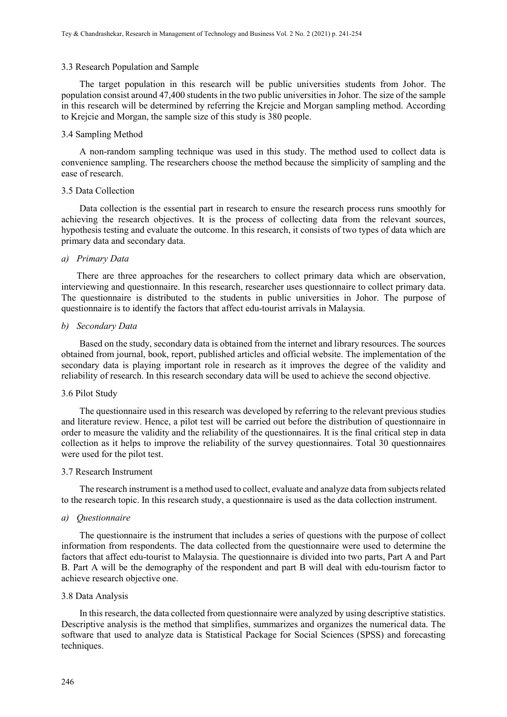# 3.3 Research Population and Sample

The target population in this research will be public universities students from Johor. The population consist around 47,400 students in the two public universities in Johor. The size of the sample in this research will be determined by referring the Krejcie and Morgan sampling method. According to Krejcie and Morgan, the sample size of this study is 380 people.

#### 3.4 Sampling Method

A non-random sampling technique was used in this study. The method used to collect data is convenience sampling. The researchers choose the method because the simplicity of sampling and the ease of research.

#### 3.5 Data Collection

Data collection is the essential part in research to ensure the research process runs smoothly for achieving the research objectives. It is the process of collecting data from the relevant sources, hypothesis testing and evaluate the outcome. In this research, it consists of two types of data which are primary data and secondary data.

# *a) Primary Data*

There are three approaches for the researchers to collect primary data which are observation, interviewing and questionnaire. In this research, researcher uses questionnaire to collect primary data. The questionnaire is distributed to the students in public universities in Johor. The purpose of questionnaire is to identify the factors that affect edu-tourist arrivals in Malaysia.

#### *b) Secondary Data*

Based on the study, secondary data is obtained from the internet and library resources. The sources obtained from journal, book, report, published articles and official website. The implementation of the secondary data is playing important role in research as it improves the degree of the validity and reliability of research. In this research secondary data will be used to achieve the second objective.

#### 3.6 Pilot Study

The questionnaire used in this research was developed by referring to the relevant previous studies and literature review. Hence, a pilot test will be carried out before the distribution of questionnaire in order to measure the validity and the reliability of the questionnaires. It is the final critical step in data collection as it helps to improve the reliability of the survey questionnaires. Total 30 questionnaires were used for the pilot test.

# 3.7 Research Instrument

The research instrument is a method used to collect, evaluate and analyze data from subjects related to the research topic. In this research study, a questionnaire is used as the data collection instrument.

#### *a) Questionnaire*

The questionnaire is the instrument that includes a series of questions with the purpose of collect information from respondents. The data collected from the questionnaire were used to determine the factors that affect edu-tourist to Malaysia. The questionnaire is divided into two parts, Part A and Part B. Part A will be the demography of the respondent and part B will deal with edu-tourism factor to achieve research objective one.

# 3.8 Data Analysis

In this research, the data collected from questionnaire were analyzed by using descriptive statistics. Descriptive analysis is the method that simplifies, summarizes and organizes the numerical data. The software that used to analyze data is Statistical Package for Social Sciences (SPSS) and forecasting techniques.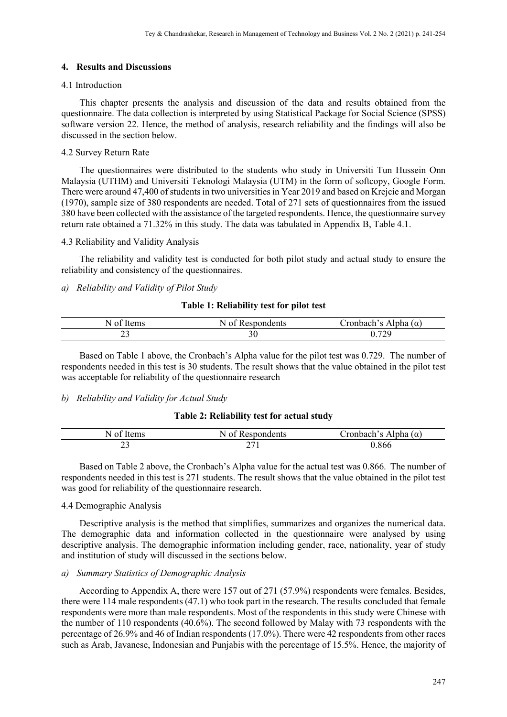# **4. Results and Discussions**

# 4.1 Introduction

This chapter presents the analysis and discussion of the data and results obtained from the questionnaire. The data collection is interpreted by using Statistical Package for Social Science (SPSS) software version 22. Hence, the method of analysis, research reliability and the findings will also be discussed in the section below.

# 4.2 Survey Return Rate

The questionnaires were distributed to the students who study in Universiti Tun Hussein Onn Malaysia (UTHM) and Universiti Teknologi Malaysia (UTM) in the form of softcopy, Google Form. There were around 47,400 of students in two universities in Year 2019 and based on Krejcie and Morgan (1970), sample size of 380 respondents are needed. Total of 271 sets of questionnaires from the issued 380 have been collected with the assistance of the targeted respondents. Hence, the questionnaire survey return rate obtained a 71.32% in this study. The data was tabulated in Appendix B, Table 4.1.

# 4.3 Reliability and Validity Analysis

The reliability and validity test is conducted for both pilot study and actual study to ensure the reliability and consistency of the questionnaires.

# *a) Reliability and Validity of Pilot Study*

# **Table 1: Reliability test for pilot test**

|   | $\alpha$<br>.<br>.            |
|---|-------------------------------|
| ت | $\pi\alpha$<br>v. <i>1 27</i> |

Based on Table 1 above, the Cronbach's Alpha value for the pilot test was 0.729. The number of respondents needed in this test is 30 students. The result shows that the value obtained in the pilot test was acceptable for reliability of the questionnaire research

# *b) Reliability and Validity for Actual Study*

# **Table 2: Reliability test for actual study**

|     |              | $\alpha$<br>່າວາ<br>ها محمد |
|-----|--------------|-----------------------------|
| ر_ر | $\mathbf{r}$ | $\cdots$<br>800             |

Based on Table 2 above, the Cronbach's Alpha value for the actual test was 0.866. The number of respondents needed in this test is 271 students. The result shows that the value obtained in the pilot test was good for reliability of the questionnaire research.

# 4.4 Demographic Analysis

Descriptive analysis is the method that simplifies, summarizes and organizes the numerical data. The demographic data and information collected in the questionnaire were analysed by using descriptive analysis. The demographic information including gender, race, nationality, year of study and institution of study will discussed in the sections below.

# *a) Summary Statistics of Demographic Analysis*

According to Appendix A, there were 157 out of 271 (57.9%) respondents were females. Besides, there were 114 male respondents (47.1) who took part in the research. The results concluded that female respondents were more than male respondents. Most of the respondents in this study were Chinese with the number of 110 respondents (40.6%). The second followed by Malay with 73 respondents with the percentage of 26.9% and 46 of Indian respondents (17.0%). There were 42 respondents from other races such as Arab, Javanese, Indonesian and Punjabis with the percentage of 15.5%. Hence, the majority of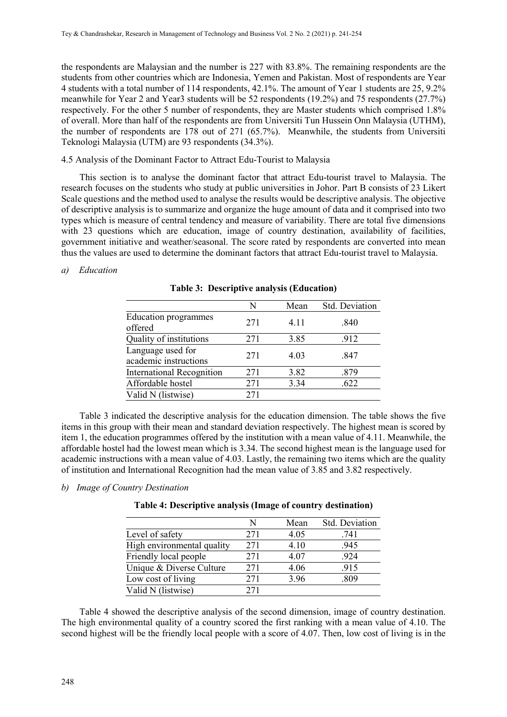the respondents are Malaysian and the number is 227 with 83.8%. The remaining respondents are the students from other countries which are Indonesia, Yemen and Pakistan. Most of respondents are Year 4 students with a total number of 114 respondents, 42.1%. The amount of Year 1 students are 25, 9.2% meanwhile for Year 2 and Year3 students will be 52 respondents (19.2%) and 75 respondents (27.7%) respectively. For the other 5 number of respondents, they are Master students which comprised 1.8% of overall. More than half of the respondents are from Universiti Tun Hussein Onn Malaysia (UTHM), the number of respondents are 178 out of 271 (65.7%). Meanwhile, the students from Universiti Teknologi Malaysia (UTM) are 93 respondents (34.3%).

#### 4.5 Analysis of the Dominant Factor to Attract Edu-Tourist to Malaysia

This section is to analyse the dominant factor that attract Edu-tourist travel to Malaysia. The research focuses on the students who study at public universities in Johor. Part B consists of 23 Likert Scale questions and the method used to analyse the results would be descriptive analysis. The objective of descriptive analysis is to summarize and organize the huge amount of data and it comprised into two types which is measure of central tendency and measure of variability. There are total five dimensions with 23 questions which are education, image of country destination, availability of facilities, government initiative and weather/seasonal. The score rated by respondents are converted into mean thus the values are used to determine the dominant factors that attract Edu-tourist travel to Malaysia.

# *a) Education*

|                                            | N   | Mean | Std. Deviation |
|--------------------------------------------|-----|------|----------------|
| <b>Education programmes</b><br>offered     | 271 | 4.11 | .840           |
| Quality of institutions                    | 271 | 3.85 | .912           |
| Language used for<br>academic instructions | 271 | 4.03 | .847           |
| <b>International Recognition</b>           | 271 | 3.82 | .879           |
| Affordable hostel                          | 271 | 3.34 | .622           |
| Valid N (listwise)                         | 271 |      |                |

**Table 3: Descriptive analysis (Education)**

Table 3 indicated the descriptive analysis for the education dimension. The table shows the five items in this group with their mean and standard deviation respectively. The highest mean is scored by item 1, the education programmes offered by the institution with a mean value of 4.11. Meanwhile, the affordable hostel had the lowest mean which is 3.34. The second highest mean is the language used for academic instructions with a mean value of 4.03. Lastly, the remaining two items which are the quality of institution and International Recognition had the mean value of 3.85 and 3.82 respectively.

#### *b) Image of Country Destination*

# **Table 4: Descriptive analysis (Image of country destination)**

|                            | N   | Mean | Std. Deviation |
|----------------------------|-----|------|----------------|
| Level of safety            | 271 | 4.05 | .741           |
| High environmental quality | 271 | 4.10 | .945           |
| Friendly local people      | 271 | 4.07 | .924           |
| Unique & Diverse Culture   | 271 | 4.06 | .915           |
| Low cost of living         | 271 | 3.96 | .809           |
| Valid N (listwise)         | 271 |      |                |

Table 4 showed the descriptive analysis of the second dimension, image of country destination. The high environmental quality of a country scored the first ranking with a mean value of 4.10. The second highest will be the friendly local people with a score of 4.07. Then, low cost of living is in the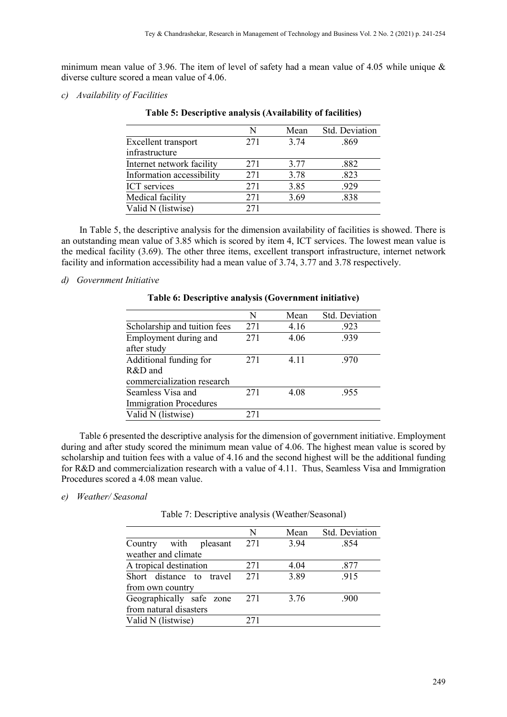minimum mean value of 3.96. The item of level of safety had a mean value of 4.05 while unique  $\&$ diverse culture scored a mean value of 4.06.

# *c) Availability of Facilities*

|                           | N   | Mean | Std. Deviation |
|---------------------------|-----|------|----------------|
| Excellent transport       | 271 | 3.74 | .869           |
| infrastructure            |     |      |                |
| Internet network facility | 271 | 3.77 | .882           |
| Information accessibility | 271 | 3.78 | .823           |
| <b>ICT</b> services       | 271 | 3.85 | .929           |
| Medical facility          | 271 | 3.69 | .838           |
| Valid N (listwise)        | 271 |      |                |
|                           |     |      |                |

**Table 5: Descriptive analysis (Availability of facilities)**

In Table 5, the descriptive analysis for the dimension availability of facilities is showed. There is an outstanding mean value of 3.85 which is scored by item 4, ICT services. The lowest mean value is the medical facility (3.69). The other three items, excellent transport infrastructure, internet network facility and information accessibility had a mean value of 3.74, 3.77 and 3.78 respectively.

# *d) Government Initiative*

|                               | N   | Mean | Std. Deviation |
|-------------------------------|-----|------|----------------|
| Scholarship and tuition fees  | 271 | 4.16 | .923           |
| Employment during and         | 271 | 4.06 | .939           |
| after study                   |     |      |                |
| Additional funding for        | 271 | 4.11 | .970           |
| $R&D$ and                     |     |      |                |
| commercialization research    |     |      |                |
| Seamless Visa and             | 271 | 4.08 | .955           |
| <b>Immigration Procedures</b> |     |      |                |
| Valid N (listwise)            | 271 |      |                |
|                               |     |      |                |

#### **Table 6: Descriptive analysis (Government initiative)**

Table 6 presented the descriptive analysis for the dimension of government initiative. Employment during and after study scored the minimum mean value of 4.06. The highest mean value is scored by scholarship and tuition fees with a value of 4.16 and the second highest will be the additional funding for R&D and commercialization research with a value of 4.11. Thus, Seamless Visa and Immigration Procedures scored a 4.08 mean value.

#### *e) Weather/ Seasonal*

Table 7: Descriptive analysis (Weather/Seasonal)

|                          | N   | Mean | Std. Deviation |
|--------------------------|-----|------|----------------|
| Country with pleasant    | 271 | 3.94 | .854           |
| weather and climate      |     |      |                |
| A tropical destination   | 271 | 4.04 | .877           |
| Short distance to travel | 271 | 3.89 | .915           |
| from own country         |     |      |                |
| Geographically safe zone | 271 | 3.76 | .900           |
| from natural disasters   |     |      |                |
| Valid N (listwise)       | 271 |      |                |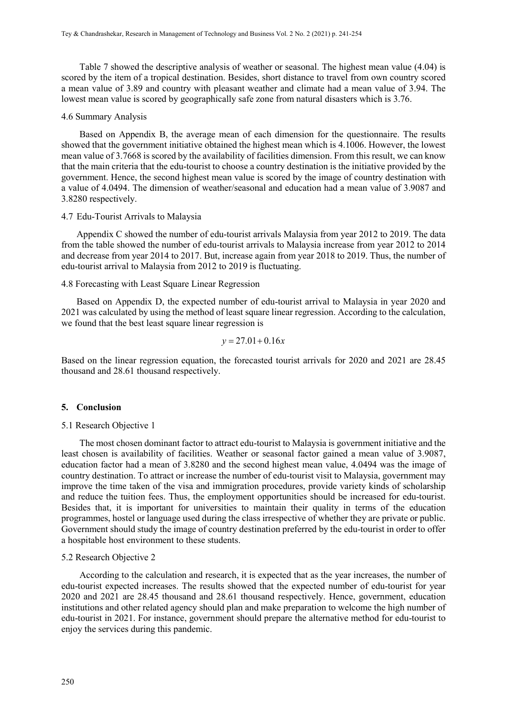Table 7 showed the descriptive analysis of weather or seasonal. The highest mean value (4.04) is scored by the item of a tropical destination. Besides, short distance to travel from own country scored a mean value of 3.89 and country with pleasant weather and climate had a mean value of 3.94. The lowest mean value is scored by geographically safe zone from natural disasters which is 3.76.

#### 4.6 Summary Analysis

Based on Appendix B, the average mean of each dimension for the questionnaire. The results showed that the government initiative obtained the highest mean which is 4.1006. However, the lowest mean value of 3.7668 is scored by the availability of facilities dimension. From this result, we can know that the main criteria that the edu-tourist to choose a country destination is the initiative provided by the government. Hence, the second highest mean value is scored by the image of country destination with a value of 4.0494. The dimension of weather/seasonal and education had a mean value of 3.9087 and 3.8280 respectively.

#### 4.7 Edu-Tourist Arrivals to Malaysia

Appendix C showed the number of edu-tourist arrivals Malaysia from year 2012 to 2019. The data from the table showed the number of edu-tourist arrivals to Malaysia increase from year 2012 to 2014 and decrease from year 2014 to 2017. But, increase again from year 2018 to 2019. Thus, the number of edu-tourist arrival to Malaysia from 2012 to 2019 is fluctuating.

# 4.8 Forecasting with Least Square Linear Regression

Based on Appendix D, the expected number of edu-tourist arrival to Malaysia in year 2020 and 2021 was calculated by using the method of least square linear regression. According to the calculation, we found that the best least square linear regression is

$$
y = 27.01 + 0.16x
$$

Based on the linear regression equation, the forecasted tourist arrivals for 2020 and 2021 are 28.45 thousand and 28.61 thousand respectively.

# **5. Conclusion**

#### 5.1 Research Objective 1

The most chosen dominant factor to attract edu-tourist to Malaysia is government initiative and the least chosen is availability of facilities. Weather or seasonal factor gained a mean value of 3.9087, education factor had a mean of 3.8280 and the second highest mean value, 4.0494 was the image of country destination. To attract or increase the number of edu-tourist visit to Malaysia, government may improve the time taken of the visa and immigration procedures, provide variety kinds of scholarship and reduce the tuition fees. Thus, the employment opportunities should be increased for edu-tourist. Besides that, it is important for universities to maintain their quality in terms of the education programmes, hostel or language used during the class irrespective of whether they are private or public. Government should study the image of country destination preferred by the edu-tourist in order to offer a hospitable host environment to these students.

# 5.2 Research Objective 2

According to the calculation and research, it is expected that as the year increases, the number of edu-tourist expected increases. The results showed that the expected number of edu-tourist for year 2020 and 2021 are 28.45 thousand and 28.61 thousand respectively. Hence, government, education institutions and other related agency should plan and make preparation to welcome the high number of edu-tourist in 2021. For instance, government should prepare the alternative method for edu-tourist to enjoy the services during this pandemic.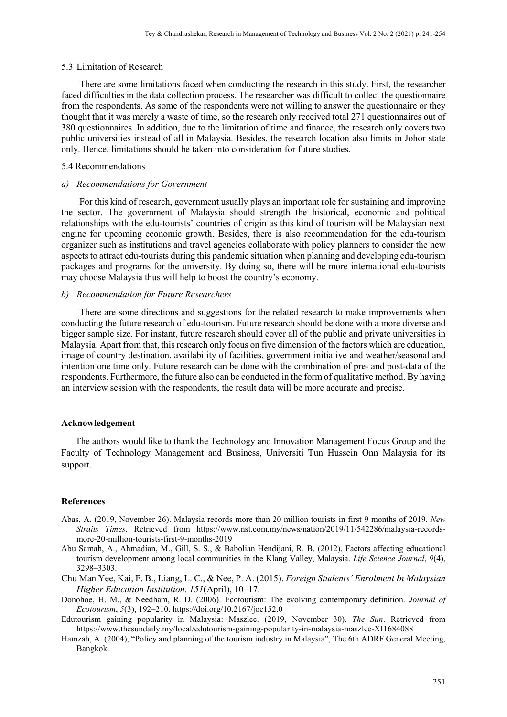#### 5.3 Limitation of Research

There are some limitations faced when conducting the research in this study. First, the researcher faced difficulties in the data collection process. The researcher was difficult to collect the questionnaire from the respondents. As some of the respondents were not willing to answer the questionnaire or they thought that it was merely a waste of time, so the research only received total 271 questionnaires out of 380 questionnaires. In addition, due to the limitation of time and finance, the research only covers two public universities instead of all in Malaysia. Besides, the research location also limits in Johor state only. Hence, limitations should be taken into consideration for future studies.

# 5.4 Recommendations

#### *a) Recommendations for Government*

For this kind of research, government usually plays an important role for sustaining and improving the sector. The government of Malaysia should strength the historical, economic and political relationships with the edu-tourists' countries of origin as this kind of tourism will be Malaysian next engine for upcoming economic growth. Besides, there is also recommendation for the edu-tourism organizer such as institutions and travel agencies collaborate with policy planners to consider the new aspects to attract edu-tourists during this pandemic situation when planning and developing edu-tourism packages and programs for the university. By doing so, there will be more international edu-tourists may choose Malaysia thus will help to boost the country's economy.

# *b) Recommendation for Future Researchers*

There are some directions and suggestions for the related research to make improvements when conducting the future research of edu-tourism. Future research should be done with a more diverse and bigger sample size. For instant, future research should cover all of the public and private universities in Malaysia. Apart from that, this research only focus on five dimension of the factors which are education, image of country destination, availability of facilities, government initiative and weather/seasonal and intention one time only. Future research can be done with the combination of pre- and post-data of the respondents. Furthermore, the future also can be conducted in the form of qualitative method. By having an interview session with the respondents, the result data will be more accurate and precise.

#### **Acknowledgement**

 The authors would like to thank the Technology and Innovation Management Focus Group and the Faculty of Technology Management and Business, Universiti Tun Hussein Onn Malaysia for its support.

#### **References**

- Abas, A. (2019, November 26). Malaysia records more than 20 million tourists in first 9 months of 2019. *New Straits Times*. Retrieved from https://www.nst.com.my/news/nation/2019/11/542286/malaysia-recordsmore-20-million-tourists-first-9-months-2019
- Abu Samah, A., Ahmadian, M., Gill, S. S., & Babolian Hendijani, R. B. (2012). Factors affecting educational tourism development among local communities in the Klang Valley, Malaysia. *Life Science Journal*, *9*(4), 3298–3303.
- Chu Man Yee, Kai, F. B., Liang, L. C., & Nee, P. A. (2015). *Foreign Students' Enrolment In Malaysian Higher Education Institution*. *151*(April), 10–17.
- Donohoe, H. M., & Needham, R. D. (2006). Ecotourism: The evolving contemporary definition. *Journal of Ecotourism*, *5*(3), 192–210. https://doi.org/10.2167/joe152.0
- Edutourism gaining popularity in Malaysia: Maszlee. (2019, November 30). *The Sun*. Retrieved from https://www.thesundaily.my/local/edutourism-gaining-popularity-in-malaysia-maszlee-XI1684088
- Hamzah, A. (2004), "Policy and planning of the tourism industry in Malaysia", The 6th ADRF General Meeting, Bangkok.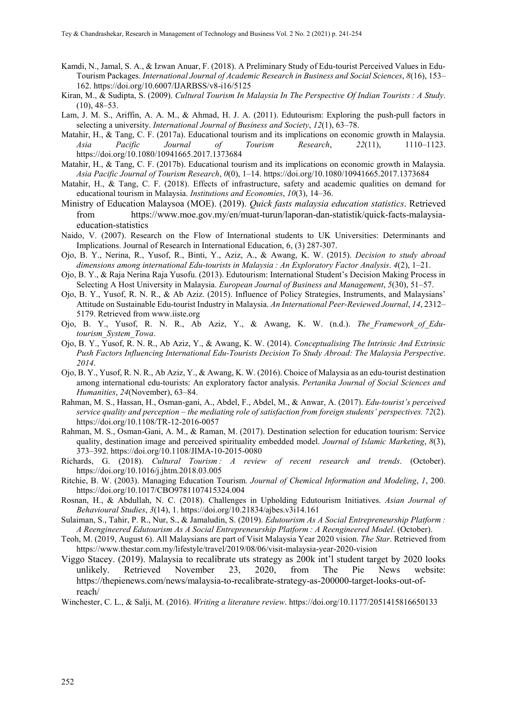- Kamdi, N., Jamal, S. A., & Izwan Anuar, F. (2018). A Preliminary Study of Edu-tourist Perceived Values in Edu-Tourism Packages. *International Journal of Academic Research in Business and Social Sciences*, *8*(16), 153– 162. https://doi.org/10.6007/IJARBSS/v8-i16/5125
- Kiran, M., & Sudipta, S. (2009). *Cultural Tourism In Malaysia In The Perspective Of Indian Tourists : A Study*. (10), 48–53.
- Lam, J. M. S., Ariffin, A. A. M., & Ahmad, H. J. A. (2011). Edutourism: Exploring the push-pull factors in selecting a university. *International Journal of Business and Society*, *12*(1), 63–78.
- Matahir, H., & Tang, C. F. (2017a). Educational tourism and its implications on economic growth in Malaysia. *Asia Pacific Journal of Tourism Research*, *22*(11), 1110–1123. https://doi.org/10.1080/10941665.2017.1373684
- Matahir, H., & Tang, C. F. (2017b). Educational tourism and its implications on economic growth in Malaysia. *Asia Pacific Journal of Tourism Research*, *0*(0), 1–14. https://doi.org/10.1080/10941665.2017.1373684
- Matahir, H., & Tang, C. F. (2018). Effects of infrastructure, safety and academic qualities on demand for educational tourism in Malaysia. *Institutions and Economies*, *10*(3), 14–36.
- Ministry of Education Malaysoa (MOE). (2019). *Quick fasts malaysia education statistics*. Retrieved from https://www.moe.gov.my/en/muat-turun/laporan-dan-statistik/quick-facts-malaysiaeducation-statistics
- Naido, V. (2007). Research on the Flow of International students to UK Universities: Determinants and Implications. Journal of Research in International Education, 6, (3) 287-307.
- Ojo, B. Y., Nerina, R., Yusof, R., Binti, Y., Aziz, A., & Awang, K. W. (2015). *Decision to study abroad dimensions among international Edu-tourists in Malaysia : An Exploratory Factor Analysis*. *4*(2), 1–21.
- Ojo, B. Y., & Raja Nerina Raja Yusofu. (2013). Edutourism: International Student's Decision Making Process in Selecting A Host University in Malaysia. *European Journal of Business and Management*, *5*(30), 51–57.
- Ojo, B. Y., Yusof, R. N. R., & Ab Aziz. (2015). Influence of Policy Strategies, Instruments, and Malaysians' Attitude on Sustainable Edu-tourist Industry in Malaysia. *An International Peer-Reviewed Journal*, *14*, 2312– 5179. Retrieved from www.iiste.org
- Ojo, B. Y., Yusof, R. N. R., Ab Aziz, Y., & Awang, K. W. (n.d.). *The\_Framework\_of\_Edutourism\_System\_Towa*.
- Ojo, B. Y., Yusof, R. N. R., Ab Aziz, Y., & Awang, K. W. (2014). *Conceptualising The Intrinsic And Extrinsic Push Factors Influencing International Edu-Tourists Decision To Study Abroad: The Malaysia Perspective*. *2014*.
- Ojo, B. Y., Yusof, R. N. R., Ab Aziz, Y., & Awang, K. W. (2016). Choice of Malaysia as an edu-tourist destination among international edu-tourists: An exploratory factor analysis. *Pertanika Journal of Social Sciences and Humanities*, *24*(November), 63–84.
- Rahman, M. S., Hassan, H., Osman-gani, A., Abdel, F., Abdel, M., & Anwar, A. (2017). *Edu-tourist's perceived service quality and perception – the mediating role of satisfaction from foreign students' perspectives. 72*(2). https://doi.org/10.1108/TR-12-2016-0057
- Rahman, M. S., Osman-Gani, A. M., & Raman, M. (2017). Destination selection for education tourism: Service quality, destination image and perceived spirituality embedded model. *Journal of Islamic Marketing*, *8*(3), 373–392. https://doi.org/10.1108/JIMA-10-2015-0080
- Richards, G. (2018). *Cultural Tourism : A review of recent research and trends*. (October). https://doi.org/10.1016/j.jhtm.2018.03.005
- Ritchie, B. W. (2003). Managing Education Tourism. *Journal of Chemical Information and Modeling*, *1*, 200. https://doi.org/10.1017/CBO9781107415324.004
- Rosnan, H., & Abdullah, N. C. (2018). Challenges in Upholding Edutourism Initiatives. *Asian Journal of Behavioural Studies*, *3*(14), 1. https://doi.org/10.21834/ajbes.v3i14.161
- Sulaiman, S., Tahir, P. R., Nur, S., & Jamaludin, S. (2019). *Edutourism As A Social Entrepreneurship Platform : A Reengineered Edutourism As A Social Entrepreneurship Platform : A Reengineered Model*. (October).
- Teoh, M. (2019, August 6). All Malaysians are part of Visit Malaysia Year 2020 vision. *The Star*. Retrieved from https://www.thestar.com.my/lifestyle/travel/2019/08/06/visit-malaysia-year-2020-vision
- Viggo Stacey. (2019). Malaysia to recalibrate uts strategy as 200k int'l student target by 2020 looks unlikely. Retrieved November 23, 2020, from The Pie News website: https://thepienews.com/news/malaysia-to-recalibrate-strategy-as-200000-target-looks-out-ofreach/
- Winchester, C. L., & Salji, M. (2016). *Writing a literature review*. https://doi.org/10.1177/2051415816650133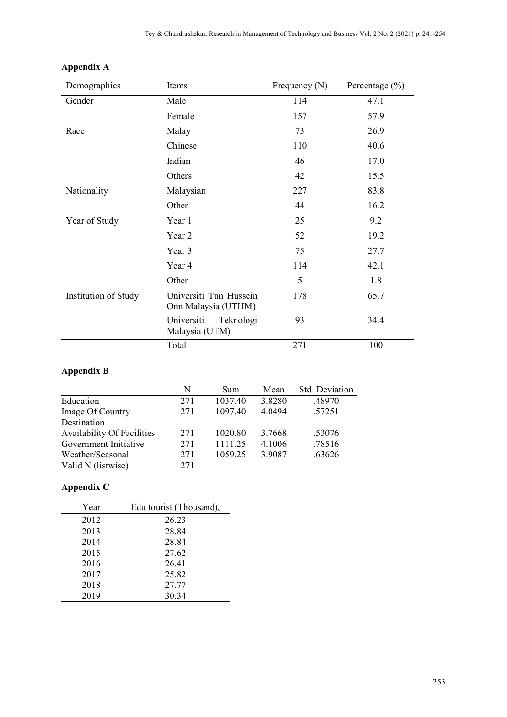| Demographics         | Items                                         | Frequency (N) | Percentage (%) |
|----------------------|-----------------------------------------------|---------------|----------------|
| Gender               | Male                                          | 114           | 47.1           |
|                      | Female                                        | 157           | 57.9           |
| Race                 | Malay                                         | 73            | 26.9           |
|                      | Chinese                                       | 110           | 40.6           |
|                      | Indian                                        | 46            | 17.0           |
|                      | Others                                        | 42            | 15.5           |
| Nationality          | Malaysian                                     | 227           | 83.8           |
|                      | Other                                         | 44            | 16.2           |
| Year of Study        | Year 1                                        | 25            | 9.2            |
|                      | Year 2                                        | 52            | 19.2           |
|                      | Year 3                                        | 75            | 27.7           |
|                      | Year 4                                        | 114           | 42.1           |
|                      | Other                                         | 5             | 1.8            |
| Institution of Study | Universiti Tun Hussein<br>Onn Malaysia (UTHM) | 178           | 65.7           |
|                      | Universiti<br>Teknologi<br>Malaysia (UTM)     | 93            | 34.4           |
|                      | Total                                         | 271           | 100            |

# **Appendix A**

# **Appendix B**

|                                   | N   | Sum     | Mean   | Std. Deviation |
|-----------------------------------|-----|---------|--------|----------------|
| Education                         | 271 | 1037.40 | 3.8280 | .48970         |
| Image Of Country                  | 271 | 1097.40 | 4.0494 | .57251         |
| Destination                       |     |         |        |                |
| <b>Availability Of Facilities</b> | 271 | 1020.80 | 3.7668 | .53076         |
| Government Initiative             | 271 | 1111.25 | 4.1006 | .78516         |
| Weather/Seasonal                  | 271 | 1059.25 | 3.9087 | .63626         |
| Valid N (listwise)                | 271 |         |        |                |

# **Appendix C**

| Year | Edu tourist (Thousand), |
|------|-------------------------|
| 2012 | 26.23                   |
| 2013 | 28.84                   |
| 2014 | 28.84                   |
| 2015 | 27.62                   |
| 2016 | 26.41                   |
| 2017 | 25.82                   |
| 2018 | 27.77                   |
| 2019 | 30.34                   |